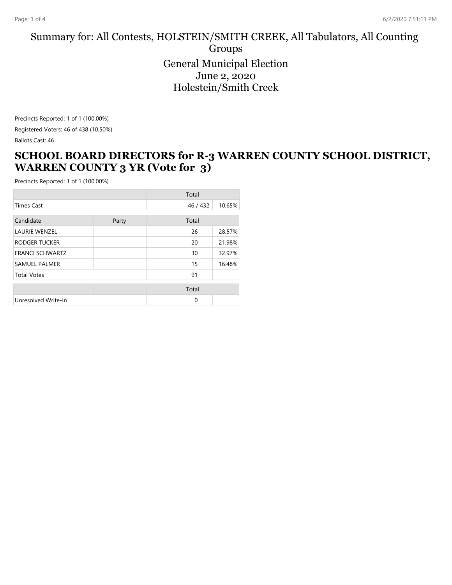#### Summary for: All Contests, HOLSTEIN/SMITH CREEK, All Tabulators, All Counting Groups General Municipal Election June 2, 2020 Holestein/Smith Creek

Precincts Reported: 1 of 1 (100.00%) Registered Voters: 46 of 438 (10.50%)

Ballots Cast: 46

## **SCHOOL BOARD DIRECTORS for R-3 WARREN COUNTY SCHOOL DISTRICT, WARREN COUNTY 3 YR (Vote for 3)**

|                        | Total |          |        |
|------------------------|-------|----------|--------|
| <b>Times Cast</b>      |       | 46 / 432 | 10.65% |
| Candidate              | Party | Total    |        |
| <b>LAURIE WENZEL</b>   |       | 26       | 28.57% |
| RODGER TUCKER          |       | 20       | 21.98% |
| <b>FRANCI SCHWARTZ</b> |       | 30       | 32.97% |
| <b>SAMUEL PALMER</b>   |       | 15       | 16.48% |
| <b>Total Votes</b>     |       | 91       |        |
|                        |       | Total    |        |
| Unresolved Write-In    |       | $\Omega$ |        |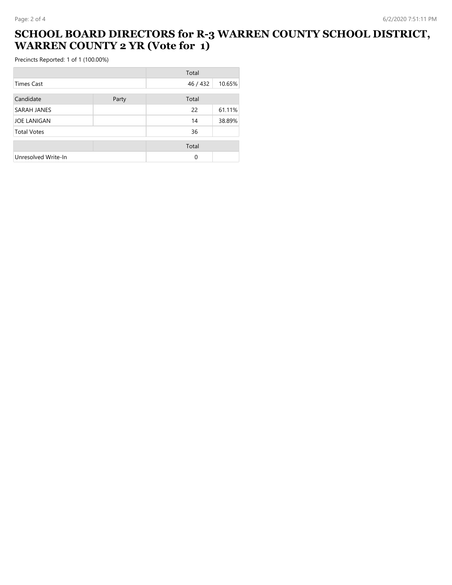## **SCHOOL BOARD DIRECTORS for R-3 WARREN COUNTY SCHOOL DISTRICT, WARREN COUNTY 2 YR (Vote for 1)**

|                     |       | Total    |        |
|---------------------|-------|----------|--------|
| Times Cast          |       | 46 / 432 | 10.65% |
| Candidate           | Party | Total    |        |
| SARAH JANES         |       | 22       | 61.11% |
| <b>JOE LANIGAN</b>  |       | 14       | 38.89% |
| <b>Total Votes</b>  |       | 36       |        |
|                     |       | Total    |        |
| Unresolved Write-In |       | $\Omega$ |        |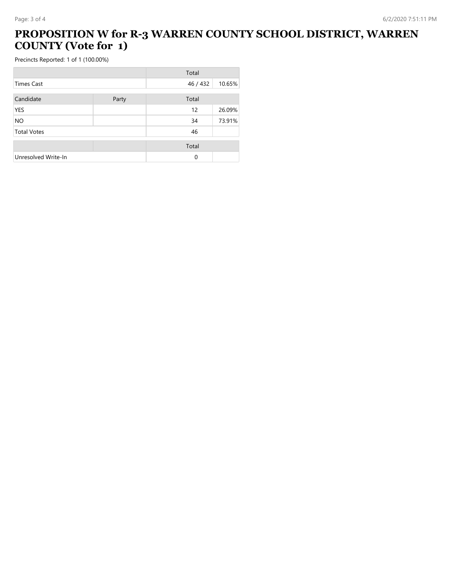# **PROPOSITION W for R-3 WARREN COUNTY SCHOOL DISTRICT, WARREN COUNTY (Vote for 1)**

|                     |       | Total    |        |
|---------------------|-------|----------|--------|
| <b>Times Cast</b>   |       | 46 / 432 | 10.65% |
| Candidate           | Party | Total    |        |
| <b>YES</b>          |       | 12       | 26.09% |
| <b>NO</b>           |       | 34       | 73.91% |
| <b>Total Votes</b>  |       | 46       |        |
|                     |       | Total    |        |
| Unresolved Write-In |       | $\Omega$ |        |